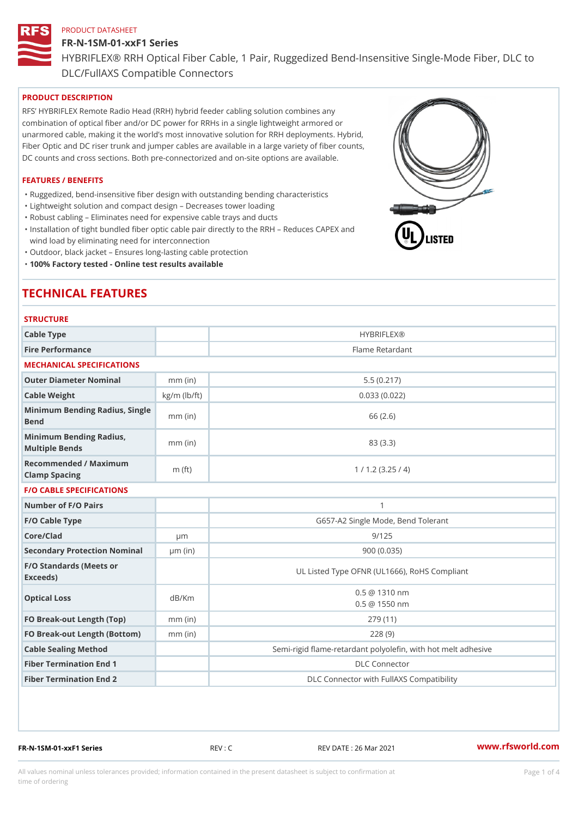# FR-N-1SM-01-xxF1 Series HYBRIFLEX® RRH Optical Fiber Cable, 1 Pair, Ruggedized Bend-Insens DLC/FullAXS Compatible Connectors

# PRODUCT DESCRIPTION

RFS HYBRIFLEX Remote Radio Head (RRH) hybrid feeder cabling solution combines any combination of optical fiber and/or DC power for RRHs in a single lightweight armored or unarmored cable, making it the world s most innovative solution for RRH deployments. Hybrid, Fiber Optic and DC riser trunk and jumper cables are available in a large variety of fiber counts, DC counts and cross sections. Both pre-connectorized and on-site options are available.

# FEATURES / BENEFITS

"Ruggedized, bend-insensitive fiber design with outstanding bending characteristics

- "Lightweight solution and compact design Decreases tower loading
- "Robust cabling Eliminates need for expensive cable trays and ducts
- "Installation of tight bundled fiber optic cable pair directly to the RRH Aeduces CAPEX and wind load by eliminating need for interconnection
- "Outdoor, black jacket Ensures long-lasting cable protection
- "100% Factory tested Online test results available

# TECHNICAL FEATURES

# STRUCTURE

| Cable Type                                        |                    | <b>HYBRIFLEX®</b>                                        |
|---------------------------------------------------|--------------------|----------------------------------------------------------|
| Fire Performance                                  |                    | Flame Retardant                                          |
| MECHANICAL SPECIFICATIONS                         |                    |                                                          |
| Outer Diameter Nominal                            | $mm$ (in)          | 5.5(0.217)                                               |
| Cable Weight                                      | $kg/m$ ( $lb/ft$ ) | 0.033(0.022)                                             |
| Minimum Bending Radius, Single<br>mm (in<br>Bend  |                    | 66 (2.6)                                                 |
| Minimum Bending Radius, mm (in)<br>Multiple Bends |                    | 83 (3.3)                                                 |
| Recommended / Maximum<br>Clamp Spacing            | $m$ (ft)           | 1 / 1.2 (3.25 / 4)                                       |
| <b>F/O CABLE SPECIFICATIONS</b>                   |                    |                                                          |
| Number of F/O Pairs                               |                    | $\mathbf{1}$                                             |
| F/O Cable Type                                    |                    | G657-A2 Single Mode, Bend Tolerant                       |
| Core/Clad                                         | $\mu$ m            | 9/125                                                    |
| Secondary Protection Nomimal(in)                  |                    | 900 (0.035)                                              |
| F/O Standards (Meets or<br>Exceeds)               |                    | UL Listed Type OFNR (UL1666), RoHS Compliant             |
| Optical Loss                                      | dB/Km              | $0.5 \ @ \ 1310 \ nm$<br>$0.5 \t@ 1550 nm$               |
| FO Break-out Length (Top)mm (in)                  |                    | 279 (11)                                                 |
| FO Break-out Length (Bottomm) (in)                |                    | 228(9)                                                   |
| Cable Sealing Method                              |                    | Semi-rigid flame-retardant polyolefin, with hot melt adl |
| Fiber Termination End                             |                    | <b>DLC</b> Connector                                     |
| Fiber Termination End 2                           |                    | DLC Connector with FullAXS Compatibility                 |

FR-N-1SM-01-xxF1 Series REV : C REV DATE : 26 Mar 2021 [www.](https://www.rfsworld.com)rfsworld.com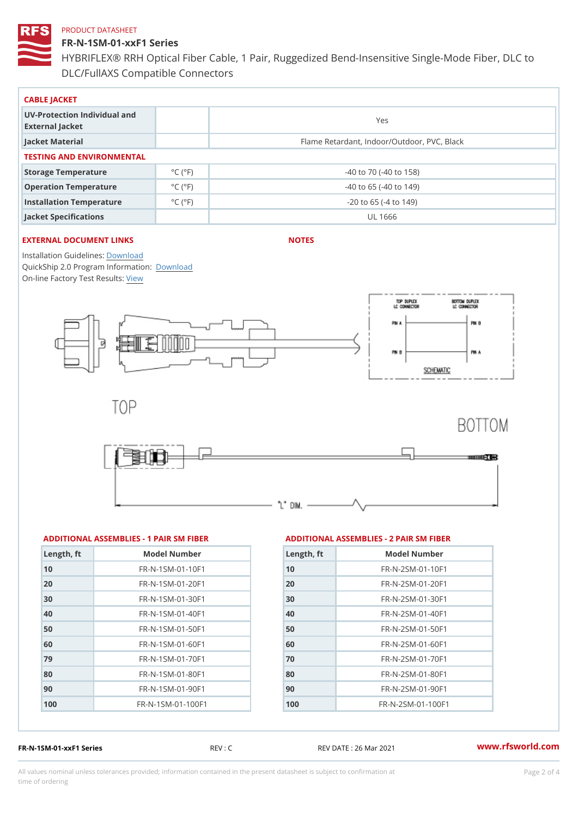FR-N-1SM-01-xxF1 Series HYBRIFLEX® RRH Optical Fiber Cable, 1 Pair, Ruggedized Bend-Insens DLC/FullAXS Compatible Connectors

| CABLE JACKET                                    |                             |                                             |
|-------------------------------------------------|-----------------------------|---------------------------------------------|
| UV-Protection Individual and<br>External Jacket |                             | Yes                                         |
| Jacket Material                                 |                             | Flame Retardant, Indoor/Outdoor, PVC, Black |
| TESTING AND ENVIRONMENTAL                       |                             |                                             |
| Storage Temperature                             | $^{\circ}$ C ( $^{\circ}$ F | $-40$ to $70$ ( $-40$ to $158$ )            |
| Operation Temperature                           | $^{\circ}$ C ( $^{\circ}$ F | $-40$ to 65 ( $-40$ to 149)                 |
| Installation Temperature                        | $^{\circ}$ C ( $^{\circ}$ F | $-20$ to 65 ( $-4$ to 149)                  |
| Jacket Specifications                           |                             | UL 1666                                     |

# EXTERNAL DOCUMENT LINKS

NOTES

Installation Guidelwinessad QuickShip 2.0 Program [Informa](http://www.rfsworld.com/images/hybriflex/quickship_program_2.pdf)tion: On-line Factory Te[s](https://www.rfsworld.com/pictures/userfiles/programs/AAST Latest Version.zip)teResults:

| ADDITIONAL ASSEMBLIES - 1 PAIR SM FIBEARD DITIONAL ASSEMBLIES - 2 PAIR SM FIBER |  |  |  |  |  |
|---------------------------------------------------------------------------------|--|--|--|--|--|
|---------------------------------------------------------------------------------|--|--|--|--|--|

| Length, ft | Model Number                     |
|------------|----------------------------------|
| 10         | FR-N-1SM-01-10F1                 |
| 20         | FR-N-1SM-01-20F1                 |
| 30         | FR-N-1SM-01-30F1                 |
| 40         | $FR - N - 1$ S M - 0 1 - 4 0 F 1 |
| 50         | FR-N-1SM-01-50F1                 |
| 60         | FR-N-1SM-01-60F1                 |
| 79         | FR-N-1SM-01-70F1                 |
| 80         | $FR - N - 1$ S M - 01 - 80 F 1   |
| 90         | FR-N-1SM-01-90F1                 |
| 100        | FR-N-1SM-01-100F1                |
|            |                                  |

| $L$ ength, ft | Model Number                 |
|---------------|------------------------------|
| 10            | $FR - N - 2 SM - 01 - 10 F1$ |
| 20            | $FR - N - 2SM - 01 - 20F1$   |
| 30            | $FR - N - 2 SM - 01 - 30 F1$ |
| 40            | $FR - N - 2 SM - 01 - 40 F1$ |
| 50            | FR-N-2SM-01-50F1             |
| 60            | $FR - N - 2 SM - 01 - 60 F1$ |
| 70            | $FR - N - 2 SM - 01 - 70 F1$ |
| 80            | $FR - N - 2 SM - 01 - 80 F1$ |
| 90            | $FR - N - 2 SM - 01 - 90 F1$ |
| 100           | FR-N-2SM-01-100F1            |
|               |                              |

FR-N-1SM-01-xxF1 Series REV : C REV DATE : 26 Mar 2021 [www.](https://www.rfsworld.com)rfsworld.com

All values nominal unless tolerances provided; information contained in the present datasheet is subject to Pcapgnéio 2m atio time of ordering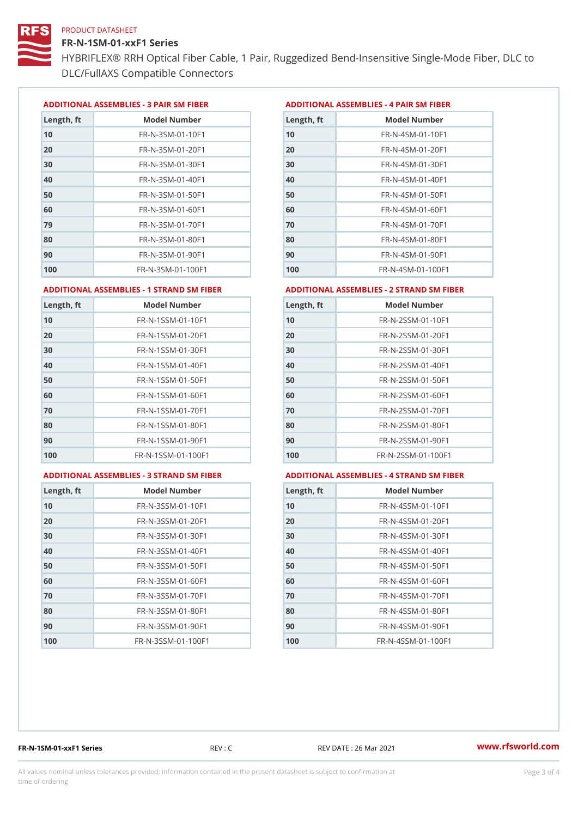FR-N-1SM-01-xxF1 Series

HYBRIFLEX® RRH Optical Fiber Cable, 1 Pair, Ruggedized Bend-Insens DLC/FullAXS Compatible Connectors

ADDITIONAL ASSEMBLIES - 3 PAIR SM FIBERED DITIONAL ASSEMBLIES - 4 PAIR SM FIBER

| Length, ft | Model Number                  |
|------------|-------------------------------|
| 10         | $FR - N - 3 S M - 01 - 10 F1$ |
| 20         | FR-N-3SM-01-20F1              |
| 30         | FR-N-3SM-01-30F1              |
| 40         | FR-N-3SM-01-40F1              |
| 50         | $FR - N - 3 S M - 01 - 50 F1$ |
| 60         | $FR - N - 3 S M - 01 - 60 F1$ |
| 79         | FR-N-3SM-01-70F1              |
| 80         | FR-N-3SM-01-80F1              |
| 90         | FR-N-3SM-01-90F1              |
| 100        | FR-N-3SM-01-100F1             |

| Length, ft | Model Number                   |
|------------|--------------------------------|
| 10         | $FR - N - 4$ S M - 01 - 10 F 1 |
| 20         | $FR - N - 4 SM - 01 - 20 F1$   |
| 30         | FR-N-4SM-01-30F1               |
| 40         | FR-N-4SM-01-40F1               |
| 50         | FR-N-4SM-01-50F1               |
| 60         | $FR - N - 4 S M - 01 - 60 F1$  |
| 70         | $FR - N - 4 SM - 01 - 70 F1$   |
| 80         | FR-N-4SM-01-80F1               |
| 90         | FR-N-4SM-01-90F1               |
| 100        | $FR - N - 4 S M - 01 - 100 F1$ |

#### ADDITIONAL ASSEMBLIES - 1 STRAND SM FABSDRTIONAL ASSEMBLIES - 2 STRAND SM FIBER

| Length, ft | Model Number                     | Length, ft | Model Number                       |
|------------|----------------------------------|------------|------------------------------------|
| 10         | FR-N-1SSM-01-10F1                | 10         | FR-N-2SSM-01-10F1                  |
| 20         | FR-N-1SSM-01-20F1                | 20         | $FR - N - 2SSM - 01 - 20F1$        |
| 30         | FR-N-1SSM-01-30F1                | 30         | FR-N-2SSM-01-30F1                  |
| 40         | $FR - N - 1$ S S M - 01 - 40 F 1 | 40         | $FR - N - 2SSM - 01 - 40F1$        |
| 50         | FR-N-1SSM-01-50F1                | 50         | FR-N-2SSM-01-50F1                  |
| 60         | $FR - N - 1$ S S M - 01 - 60 F 1 | 60         | $FR - N - 2$ S S M $- 01 - 60$ F 1 |
| 70         | FR-N-1SSM-01-70F1                | 70         | FR-N-2SSM-01-70F1                  |
| 80         | FR-N-1SSM-01-80F1                | 80         | FR-N-2SSM-01-80F1                  |
| 90         | $FR - N - 1$ S S M - 01 - 90 F 1 | 90         | $FR - N - 2SSM - 01 - 90F1$        |
| 100        | FR-N-1SSM-01-100F1               | 100        | FR-N-2SSM-01-100F1                 |

## ADDITIONAL ASSEMBLIES - 3 STRAND S

|  |  |  |  | M FABDRTIONAL ASSEMBLIE |
|--|--|--|--|-------------------------|
|--|--|--|--|-------------------------|

| FAEDERTIONAL ASSEMBLIES - 4 STRAND SM FIBERI |  |  |  |  |  |  |
|----------------------------------------------|--|--|--|--|--|--|
|----------------------------------------------|--|--|--|--|--|--|

| Length, ft | Model Number                    |
|------------|---------------------------------|
| 10         | $FR - N - 3 S S M - 01 - 10 F1$ |
| 20         | FR-N-3SSM-01-20F1               |
| 30         | FR-N-3SSM-01-30F1               |
| 40         | FR-N-3SSM-01-40F1               |
| 50         | $FR - N - 3 S S M - 01 - 50 F1$ |
| 60         | FR-N-3SSM-01-60F1               |
| 70         | $FR - N - 3 S S M - 01 - 70 F1$ |
| 80         | $FR - N - 3 S S M - 01 - 80 F1$ |
| 90         | FR-N-3SSM-01-90F1               |
| 100        | FR-N-3SSM-01-100F1              |

| Length, ft | Model Number                     |
|------------|----------------------------------|
| 10         | $FR - N - 4$ S S M - 01 - 10 F 1 |
| 20         | FR-N-4SSM-01-20F1                |
| 30         | $FR - N - 4$ S S M - 01 - 30 F 1 |
| 40         | $FR - N - 4 S S M - 01 - 40 F1$  |
| 50         | FR-N-4SSM-01-50F1                |
| 60         | FR-N-4SSM-01-60F1                |
| 70         | $FR - N - 4$ S S M - 01 - 70 F 1 |
| 80         | $FR - N - 4$ S S M - 01 - 80 F 1 |
| 90         | $FR - N - 4$ S S M - 01 - 90 F 1 |
| 100        | FR-N-4SSM-01-100F1               |

FR-N-1SM-01-xxF1 Series REV : C REV DATE : 26 Mar 2021 [www.](https://www.rfsworld.com)rfsworld.com

All values nominal unless tolerances provided; information contained in the present datasheet is subject to Pcapgeling that i time of ordering